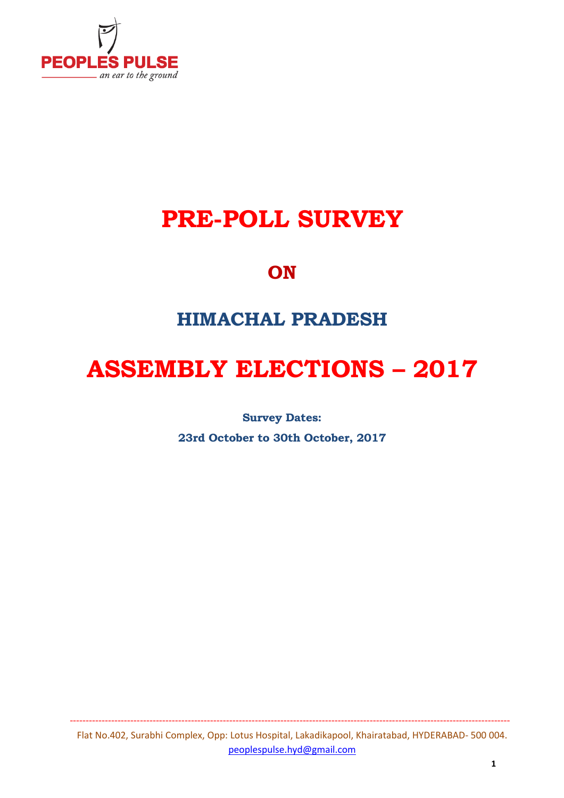

# **PRE-POLL SURVEY**

# **ON**

# **HIMACHAL PRADESH**

# **ASSEMBLY ELECTIONS – 2017**

**Survey Dates:** 

**23rd October to 30th October, 2017**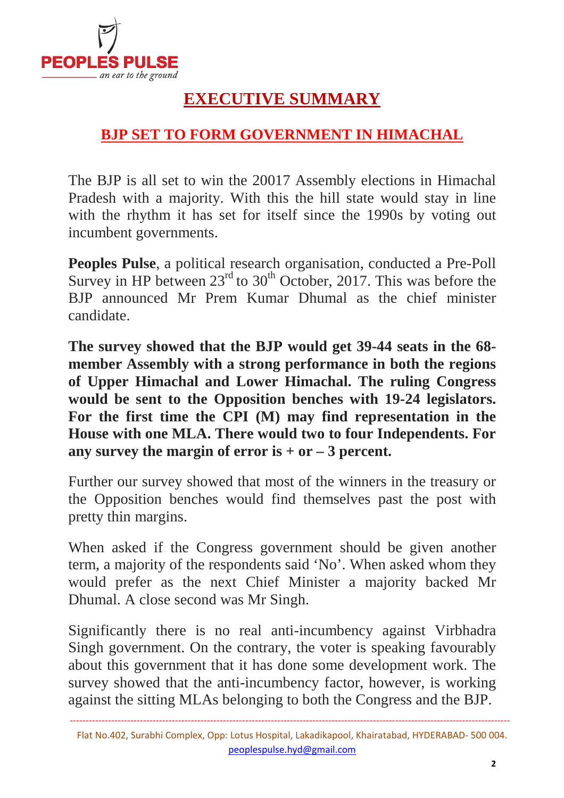

# **EXECUTIVE SUMMARY**

## **BJP SET TO FORM GOVERNMENT IN HIMACHAL**

The BJP is all set to win the 20017 Assembly elections in Himachal Pradesh with a majority. With this the hill state would stay in line with the rhythm it has set for itself since the 1990s by voting out incumbent governments.

**Peoples Pulse**, a political research organisation, conducted a Pre-Poll Survey in HP between  $23<sup>rd</sup>$  to  $30<sup>th</sup>$  October, 2017. This was before the BJP announced Mr Prem Kumar Dhumal as the chief minister candidate.

**The survey showed that the BJP would get 39-44 seats in the 68 member Assembly with a strong performance in both the regions of Upper Himachal and Lower Himachal. The ruling Congress would be sent to the Opposition benches with 19-24 legislators. For the first time the CPI (M) may find representation in the House with one MLA. There would two to four Independents. For any survey the margin of error is + or – 3 percent.**

Further our survey showed that most of the winners in the treasury or the Opposition benches would find themselves past the post with pretty thin margins.

When asked if the Congress government should be given another term, a majority of the respondents said 'No'. When asked whom they would prefer as the next Chief Minister a majority backed Mr Dhumal. A close second was Mr Singh.

Significantly there is no real anti-incumbency against Virbhadra Singh government. On the contrary, the voter is speaking favourably about this government that it has done some development work. The survey showed that the anti-incumbency factor, however, is working against the sitting MLAs belonging to both the Congress and the BJP.

Flat No.402, Surabhi Complex, Opp: Lotus Hospital, Lakadikapool, Khairatabad, HYDERABAD- 500 004. peoplespulse.hyd@gmail.com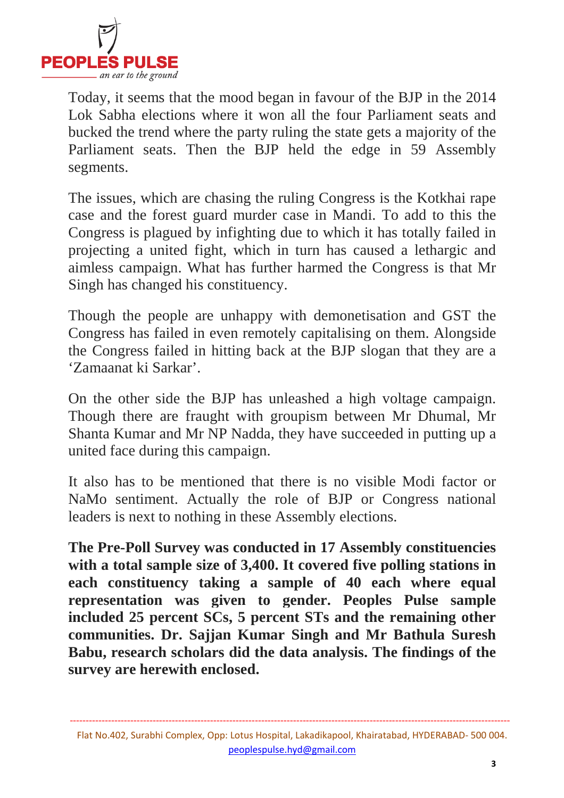

Today, it seems that the mood began in favour of the BJP in the 2014 Lok Sabha elections where it won all the four Parliament seats and bucked the trend where the party ruling the state gets a majority of the Parliament seats. Then the BJP held the edge in 59 Assembly segments.

The issues, which are chasing the ruling Congress is the Kotkhai rape case and the forest guard murder case in Mandi. To add to this the Congress is plagued by infighting due to which it has totally failed in projecting a united fight, which in turn has caused a lethargic and aimless campaign. What has further harmed the Congress is that Mr Singh has changed his constituency.

Though the people are unhappy with demonetisation and GST the Congress has failed in even remotely capitalising on them. Alongside the Congress failed in hitting back at the BJP slogan that they are a 'Zamaanat ki Sarkar'.

On the other side the BJP has unleashed a high voltage campaign. Though there are fraught with groupism between Mr Dhumal, Mr Shanta Kumar and Mr NP Nadda, they have succeeded in putting up a united face during this campaign.

It also has to be mentioned that there is no visible Modi factor or NaMo sentiment. Actually the role of BJP or Congress national leaders is next to nothing in these Assembly elections.

**The Pre-Poll Survey was conducted in 17 Assembly constituencies with a total sample size of 3,400. It covered five polling stations in each constituency taking a sample of 40 each where equal representation was given to gender. Peoples Pulse sample included 25 percent SCs, 5 percent STs and the remaining other communities. Dr. Sajjan Kumar Singh and Mr Bathula Suresh Babu, research scholars did the data analysis. The findings of the survey are herewith enclosed.**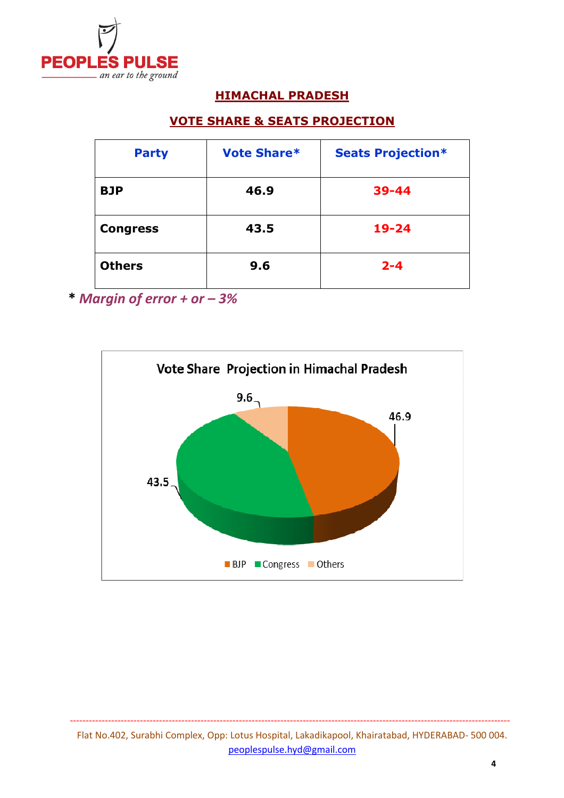

#### **HIMACHAL PRADESH**

#### **VOTE SHARE & SEATS PROJECTION**

| <b>Party</b>    | <b>Vote Share*</b> | <b>Seats Projection*</b> |
|-----------------|--------------------|--------------------------|
| <b>BJP</b>      | 46.9               | $39 - 44$                |
| <b>Congress</b> | 43.5               | $19 - 24$                |
| <b>Others</b>   | 9.6                | $2 - 4$                  |

**\*** *Margin of error + or – 3%*

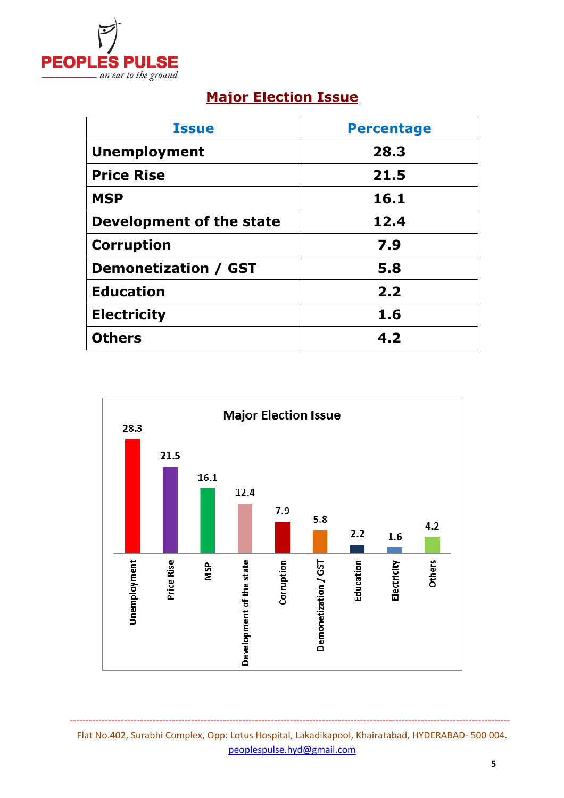

## **Major Election Issue**

| <b>Issue</b>                | <b>Percentage</b> |
|-----------------------------|-------------------|
| <b>Unemployment</b>         | 28.3              |
| <b>Price Rise</b>           | 21.5              |
| <b>MSP</b>                  | 16.1              |
| Development of the state    | 12.4              |
| <b>Corruption</b>           | 7.9               |
| <b>Demonetization / GST</b> | 5.8               |
| <b>Education</b>            | 2.2               |
| <b>Electricity</b>          | 1.6               |
| <b>Others</b>               | 4.2               |



Flat No.402, Surabhi Complex, Opp: Lotus Hospital, Lakadikapool, Khairatabad, HYDERABAD- 500 004. peoplespulse.hyd@gmail.com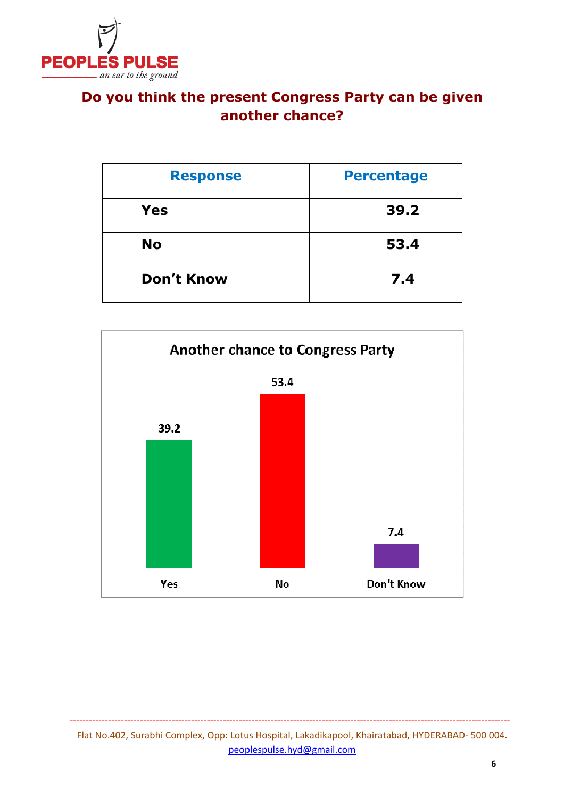

## **Do you think the present Congress Party can be given another chance?**

| <b>Response</b>   | <b>Percentage</b> |
|-------------------|-------------------|
| <b>Yes</b>        | 39.2              |
| <b>No</b>         | 53.4              |
| <b>Don't Know</b> | 7.4               |

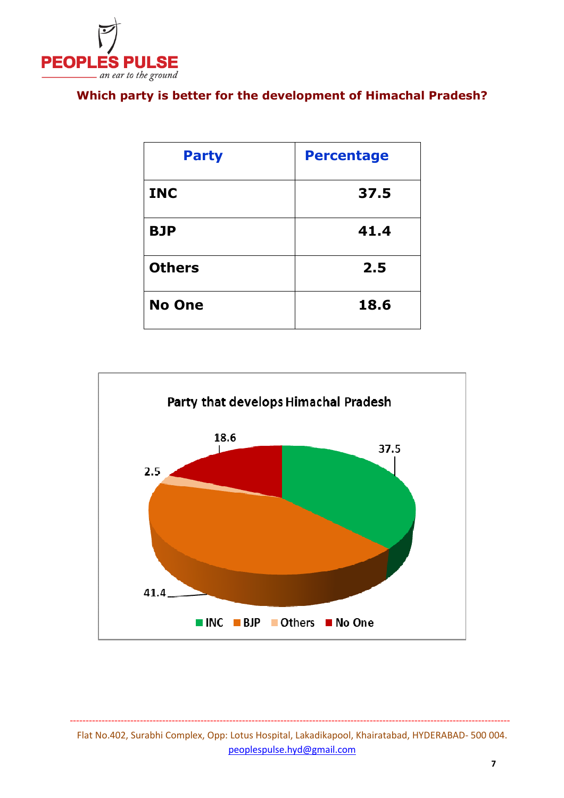

### **Which party is better for the development of Himachal Pradesh?**

| <b>Party</b>  | <b>Percentage</b> |
|---------------|-------------------|
| <b>INC</b>    | 37.5              |
| <b>BJP</b>    | 41.4              |
| <b>Others</b> | 2.5               |
| <b>No One</b> | 18.6              |



#### Flat No.402, Surabhi Complex, Opp: Lotus Hospital, Lakadikapool, Khairatabad, HYDERABAD- 500 004. peoplespulse.hyd@gmail.com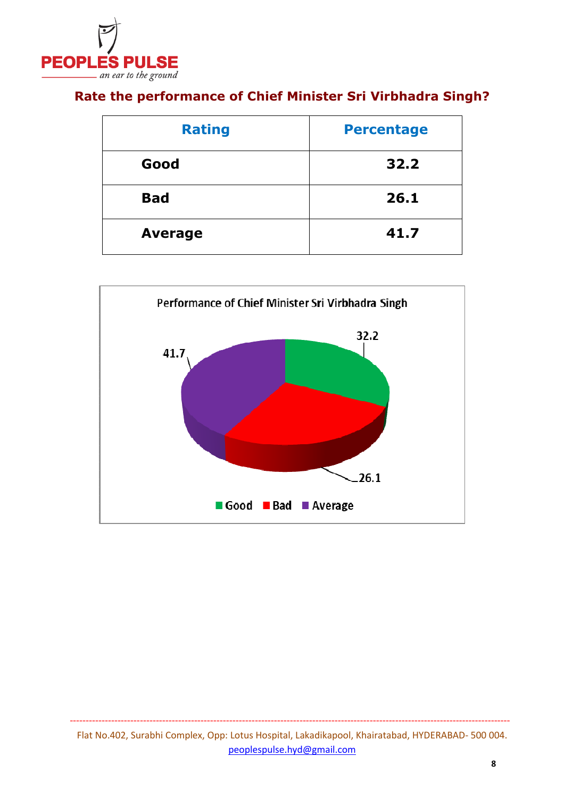

## **Rate the performance of Chief Minister Sri Virbhadra Singh?**

| <b>Rating</b>  | <b>Percentage</b> |
|----------------|-------------------|
| Good           | 32.2              |
| <b>Bad</b>     | 26.1              |
| <b>Average</b> | 41.7              |